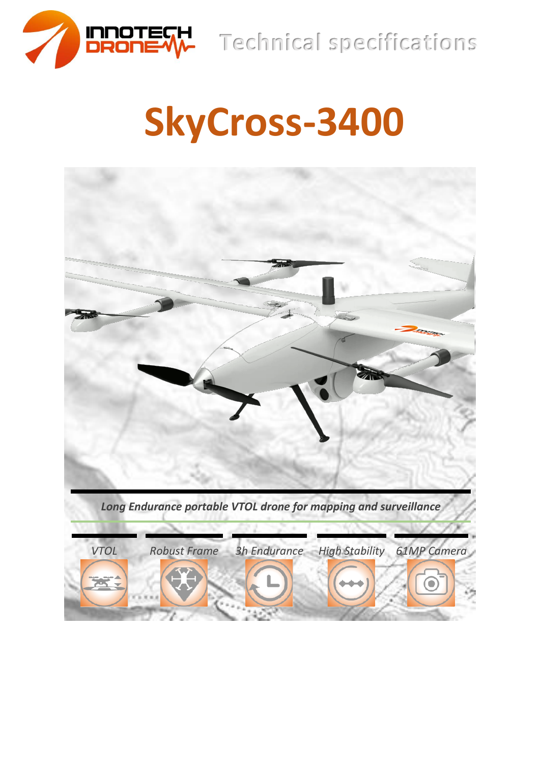

**Technical specifications**

# **SkyCross-3400**